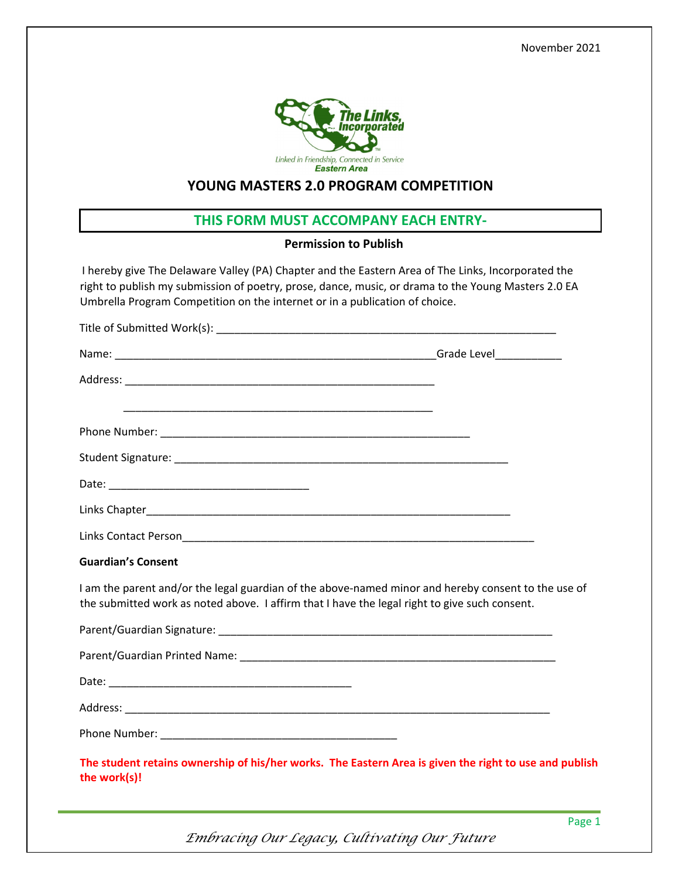November 2021



## **YOUNG MASTERS 2.0 PROGRAM COMPETITION**

## **THIS FORM MUST ACCOMPANY EACH ENTRY‐**

## **Permission to Publish**

I hereby give The Delaware Valley (PA) Chapter and the Eastern Area of The Links, Incorporated the right to publish my submission of poetry, prose, dance, music, or drama to the Young Masters 2.0 EA Umbrella Program Competition on the internet or in a publication of choice.

| <b>Guardian's Consent</b>                                                                                                                                                                            |  |
|------------------------------------------------------------------------------------------------------------------------------------------------------------------------------------------------------|--|
| I am the parent and/or the legal guardian of the above-named minor and hereby consent to the use of<br>the submitted work as noted above. I affirm that I have the legal right to give such consent. |  |
|                                                                                                                                                                                                      |  |
|                                                                                                                                                                                                      |  |
|                                                                                                                                                                                                      |  |
|                                                                                                                                                                                                      |  |
|                                                                                                                                                                                                      |  |
| The student retains ownership of his/her works. The Eastern Area is given the right to use and publish<br>the work(s)!                                                                               |  |

 *Embracing Our Legacy, Cultivating Our Future*